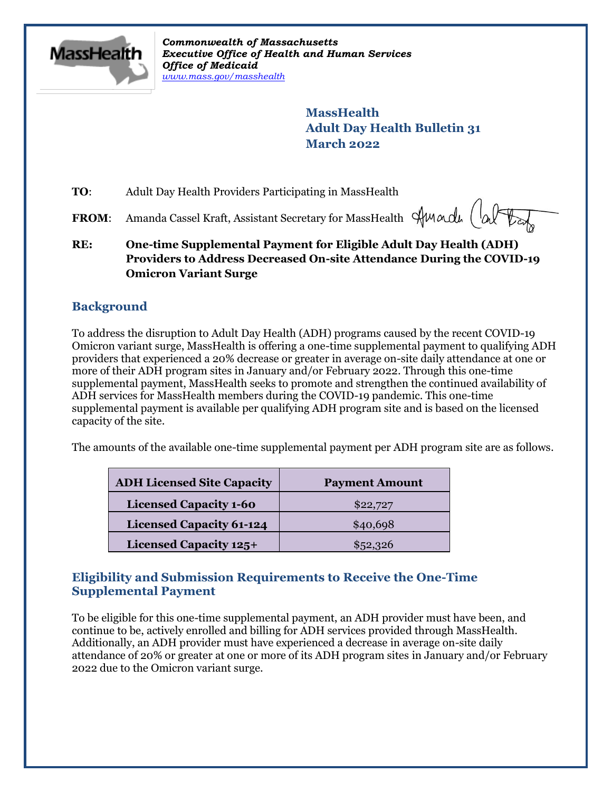

*Commonwealth of Massachusetts Executive Office of Health and Human Services Office of Medicaid [www.mass.gov/masshealth](http://www.mass.gov/masshealth)*

> **MassHealth Adult Day Health Bulletin 31 March 2022**

**TO:** Adult Day Health Providers Participating in MassHealth

**FROM:** Amanda Cassel Kraft, Assistant Secretary for MassHealth Sun and

**RE: One-time Supplemental Payment for Eligible Adult Day Health (ADH) Providers to Address Decreased On-site Attendance During the COVID-19 Omicron Variant Surge**

## **Background**

To address the disruption to Adult Day Health (ADH) programs caused by the recent COVID-19 Omicron variant surge, MassHealth is offering a one-time supplemental payment to qualifying ADH providers that experienced a 20% decrease or greater in average on-site daily attendance at one or more of their ADH program sites in January and/or February 2022. Through this one-time supplemental payment, MassHealth seeks to promote and strengthen the continued availability of ADH services for MassHealth members during the COVID-19 pandemic. This one-time supplemental payment is available per qualifying ADH program site and is based on the licensed capacity of the site.

The amounts of the available one-time supplemental payment per ADH program site are as follows.

| <b>ADH Licensed Site Capacity</b> | <b>Payment Amount</b> |
|-----------------------------------|-----------------------|
| <b>Licensed Capacity 1-60</b>     | \$22,727              |
| <b>Licensed Capacity 61-124</b>   | \$40,698              |
| <b>Licensed Capacity 125+</b>     | \$52,326              |

## **Eligibility and Submission Requirements to Receive the One-Time Supplemental Payment**

To be eligible for this one-time supplemental payment, an ADH provider must have been, and continue to be, actively enrolled and billing for ADH services provided through MassHealth. Additionally, an ADH provider must have experienced a decrease in average on-site daily attendance of 20% or greater at one or more of its ADH program sites in January and/or February 2022 due to the Omicron variant surge.